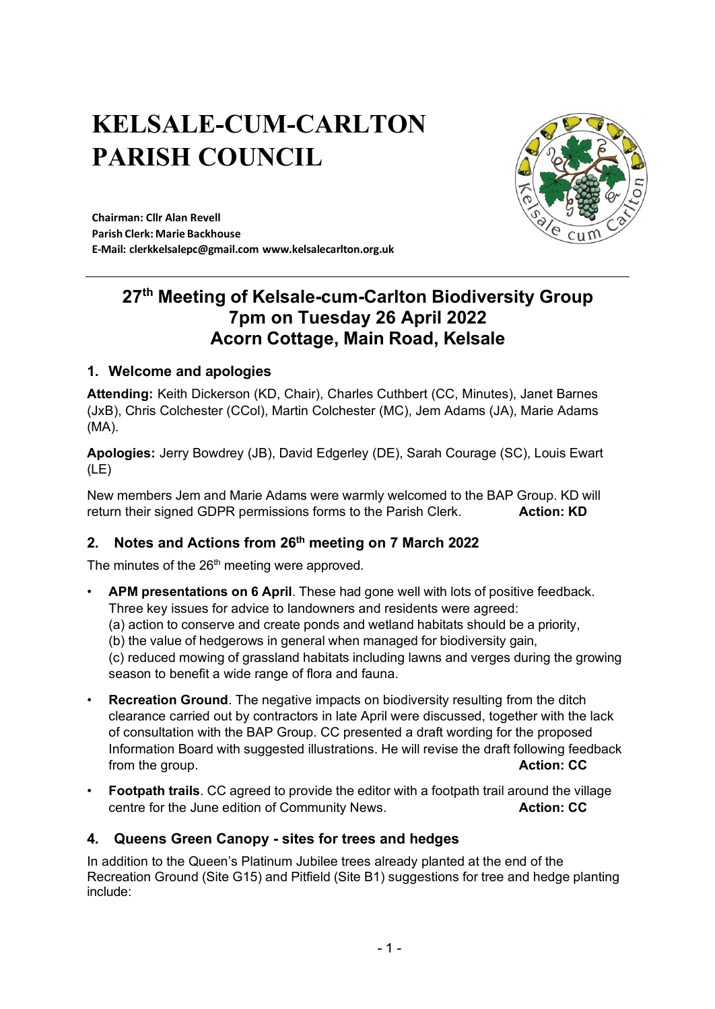# **KELSALE-CUM-CARLTON PARISH COUNCIL**



**Chairman: Cllr Alan Revell Parish Clerk: Marie Backhouse E-Mail: [clerkkelsalepc@gmail.com](mailto:clerkkelsalepc@gmail.com) [www.kelsalecarlton.org.uk](http://www.kelsalecarlton.org.uk/)**

## **27th Meeting of Kelsale-cum-Carlton Biodiversity Group 7pm on Tuesday 26 April 2022 Acorn Cottage, Main Road, Kelsale**

## **1. Welcome and apologies**

**Attending:** Keith Dickerson (KD, Chair), Charles Cuthbert (CC, Minutes), Janet Barnes (JxB), Chris Colchester (CCol), Martin Colchester (MC), Jem Adams (JA), Marie Adams (MA).

**Apologies:** Jerry Bowdrey (JB), David Edgerley (DE), Sarah Courage (SC), Louis Ewart (LE)

New members Jem and Marie Adams were warmly welcomed to the BAP Group. KD will return their signed GDPR permissions forms to the Parish Clerk. **Action: KD**

## **2. Notes and Actions from 26th meeting on 7 March 2022**

The minutes of the 26<sup>th</sup> meeting were approved.

• **APM presentations on 6 April**. These had gone well with lots of positive feedback. Three key issues for advice to landowners and residents were agreed:

(a) action to conserve and create ponds and wetland habitats should be a priority,

(b) the value of hedgerows in general when managed for biodiversity gain,

(c) reduced mowing of grassland habitats including lawns and verges during the growing season to benefit a wide range of flora and fauna.

- **Recreation Ground**. The negative impacts on biodiversity resulting from the ditch clearance carried out by contractors in late April were discussed, together with the lack of consultation with the BAP Group. CC presented a draft wording for the proposed Information Board with suggested illustrations. He will revise the draft following feedback from the group. **Action: CC**
- **Footpath trails**. CC agreed to provide the editor with a footpath trail around the village centre for the June edition of Community News. **Action: CC**

## **4. Queens Green Canopy - sites for trees and hedges**

In addition to the Queen's Platinum Jubilee trees already planted at the end of the Recreation Ground (Site G15) and Pitfield (Site B1) suggestions for tree and hedge planting include: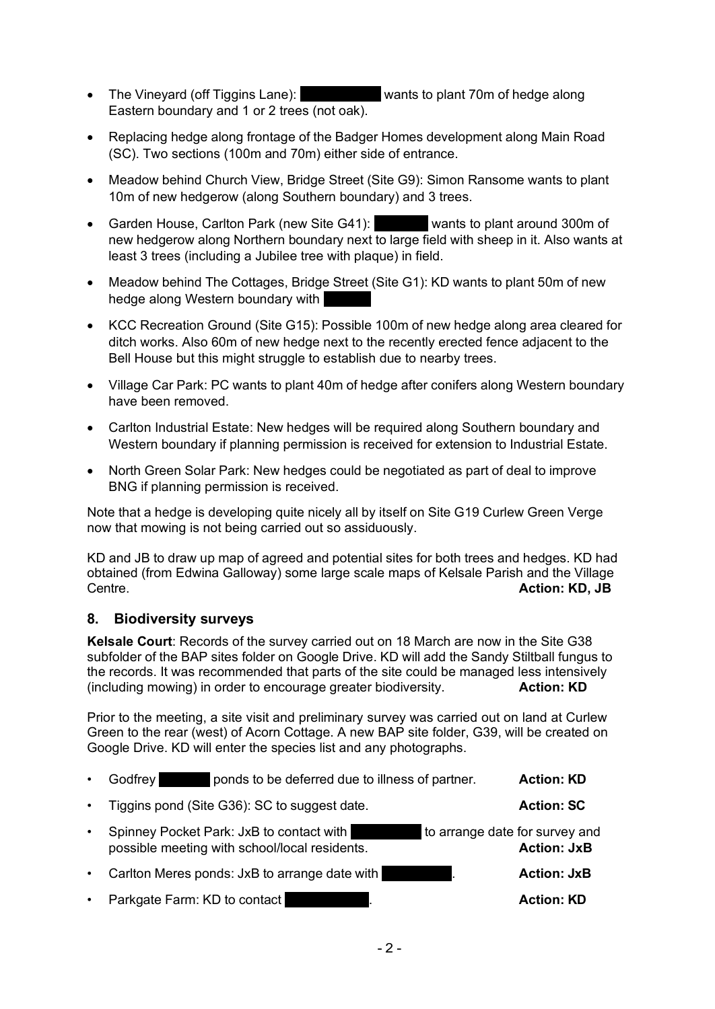- The Vineyard (off Tiggins Lane): wants to plant 70m of hedge along Eastern boundary and 1 or 2 trees (not oak).
- Replacing hedge along frontage of the Badger Homes development along Main Road (SC). Two sections (100m and 70m) either side of entrance.
- Meadow behind Church View, Bridge Street (Site G9): Simon Ransome wants to plant 10m of new hedgerow (along Southern boundary) and 3 trees.
- Garden House, Carlton Park (new Site G41): Wants to plant around 300m of new hedgerow along Northern boundary next to large field with sheep in it. Also wants at least 3 trees (including a Jubilee tree with plaque) in field.
- Meadow behind The Cottages, Bridge Street (Site G1): KD wants to plant 50m of new hedge along Western boundary with
- KCC Recreation Ground (Site G15): Possible 100m of new hedge along area cleared for ditch works. Also 60m of new hedge next to the recently erected fence adjacent to the Bell House but this might struggle to establish due to nearby trees.
- Village Car Park: PC wants to plant 40m of hedge after conifers along Western boundary have been removed.
- Carlton Industrial Estate: New hedges will be required along Southern boundary and Western boundary if planning permission is received for extension to Industrial Estate.
- North Green Solar Park: New hedges could be negotiated as part of deal to improve BNG if planning permission is received.

Note that a hedge is developing quite nicely all by itself on Site G19 Curlew Green Verge now that mowing is not being carried out so assiduously.

KD and JB to draw up map of agreed and potential sites for both trees and hedges. KD had obtained (from Edwina Galloway) some large scale maps of Kelsale Parish and the Village Centre. **Action: KD, JB**

#### **8. Biodiversity surveys**

**Kelsale Court**: Records of the survey carried out on 18 March are now in the Site G38 subfolder of the BAP sites folder on Google Drive. KD will add the Sandy Stiltball fungus to the records. It was recommended that parts of the site could be managed less intensively (including mowing) in order to encourage greater biodiversity. **Action: KD**

Prior to the meeting, a site visit and preliminary survey was carried out on land at Curlew Green to the rear (west) of Acorn Cottage. A new BAP site folder, G39, will be created on Google Drive. KD will enter the species list and any photographs.

|           | ponds to be deferred due to illness of partner.<br>Godfrey                                                                  | <b>Action: KD</b>  |
|-----------|-----------------------------------------------------------------------------------------------------------------------------|--------------------|
| $\bullet$ | Tiggins pond (Site G36): SC to suggest date.                                                                                | <b>Action: SC</b>  |
|           | to arrange date for survey and<br>Spinney Pocket Park: JxB to contact with<br>possible meeting with school/local residents. | <b>Action: JxB</b> |
|           | Carlton Meres ponds: JxB to arrange date with                                                                               | <b>Action: JxB</b> |
| $\bullet$ | Parkgate Farm: KD to contact                                                                                                | <b>Action: KD</b>  |